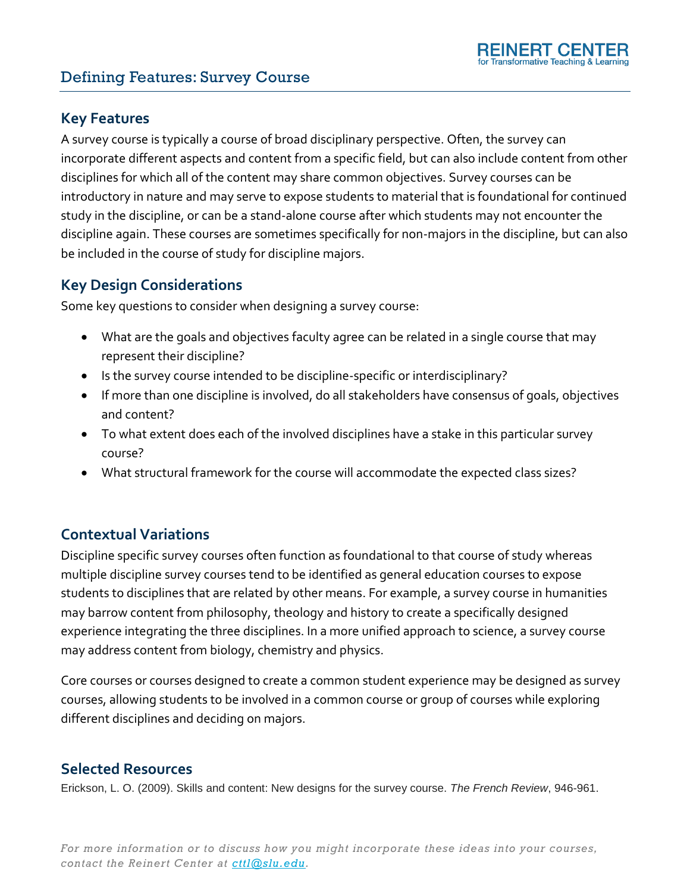# Defining Features: Survey Course

### **Key Features**

A survey course is typically a course of broad disciplinary perspective. Often, the survey can incorporate different aspects and content from a specific field, but can also include content from other disciplines for which all of the content may share common objectives. Survey courses can be introductory in nature and may serve to expose students to material that is foundational for continued study in the discipline, or can be a stand-alone course after which students may not encounter the discipline again. These courses are sometimes specifically for non-majors in the discipline, but can also be included in the course of study for discipline majors.

### **Key Design Considerations**

Some key questions to consider when designing a survey course:

- What are the goals and objectives faculty agree can be related in a single course that may represent their discipline?
- Is the survey course intended to be discipline-specific or interdisciplinary?
- If more than one discipline is involved, do all stakeholders have consensus of goals, objectives and content?
- To what extent does each of the involved disciplines have a stake in this particular survey course?
- What structural framework for the course will accommodate the expected class sizes?

# **Contextual Variations**

Discipline specific survey courses often function as foundational to that course of study whereas multiple discipline survey courses tend to be identified as general education courses to expose students to disciplines that are related by other means. For example, a survey course in humanities may barrow content from philosophy, theology and history to create a specifically designed experience integrating the three disciplines. In a more unified approach to science, a survey course may address content from biology, chemistry and physics.

Core courses or courses designed to create a common student experience may be designed as survey courses, allowing students to be involved in a common course or group of courses while exploring different disciplines and deciding on majors.

#### **Selected Resources**

Erickson, L. O. (2009). Skills and content: New designs for the survey course. *The French Review*, 946-961.